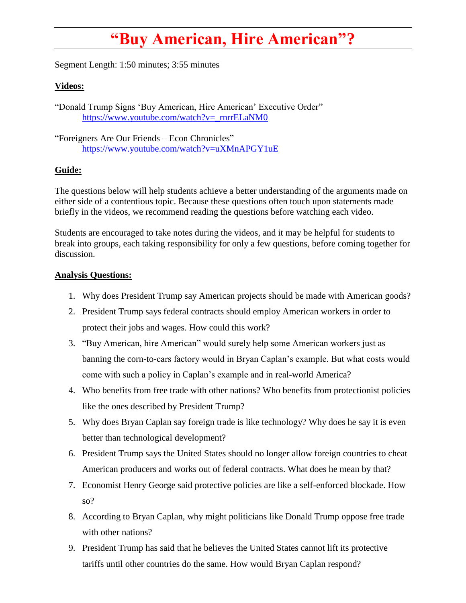## **"Buy American, Hire American"?**

Segment Length: 1:50 minutes; 3:55 minutes

## **Videos:**

"Donald Trump Signs 'Buy American, Hire American' Executive Order" [https://www.youtube.com/watch?v=\\_rnrrELaNM0](https://www.youtube.com/watch?v=_rnrrELaNM0)

"Foreigners Are Our Friends – Econ Chronicles" <https://www.youtube.com/watch?v=uXMnAPGY1uE>

## **Guide:**

The questions below will help students achieve a better understanding of the arguments made on either side of a contentious topic. Because these questions often touch upon statements made briefly in the videos, we recommend reading the questions before watching each video.

Students are encouraged to take notes during the videos, and it may be helpful for students to break into groups, each taking responsibility for only a few questions, before coming together for discussion.

## **Analysis Questions:**

- 1. Why does President Trump say American projects should be made with American goods?
- 2. President Trump says federal contracts should employ American workers in order to protect their jobs and wages. How could this work?
- 3. "Buy American, hire American" would surely help some American workers just as banning the corn-to-cars factory would in Bryan Caplan's example. But what costs would come with such a policy in Caplan's example and in real-world America?
- 4. Who benefits from free trade with other nations? Who benefits from protectionist policies like the ones described by President Trump?
- 5. Why does Bryan Caplan say foreign trade is like technology? Why does he say it is even better than technological development?
- 6. President Trump says the United States should no longer allow foreign countries to cheat American producers and works out of federal contracts. What does he mean by that?
- 7. Economist Henry George said protective policies are like a self-enforced blockade. How so?
- 8. According to Bryan Caplan, why might politicians like Donald Trump oppose free trade with other nations?
- 9. President Trump has said that he believes the United States cannot lift its protective tariffs until other countries do the same. How would Bryan Caplan respond?